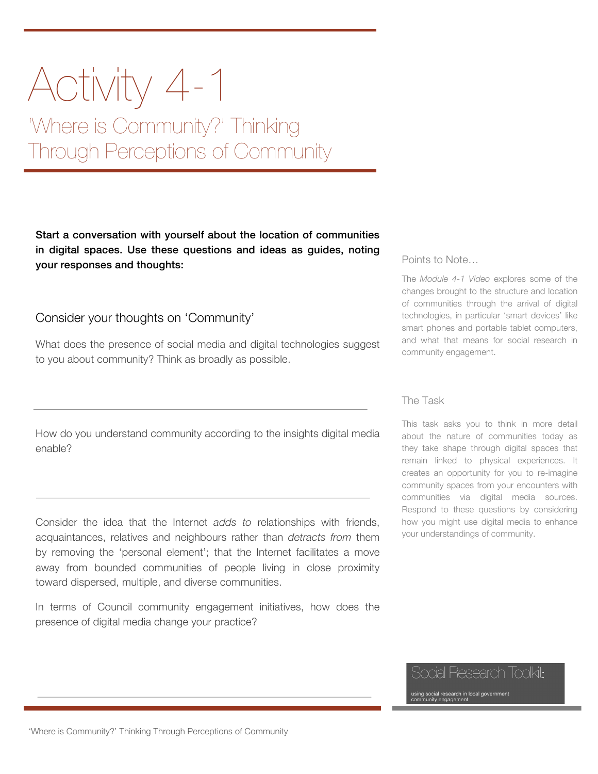## Activity 4-1

'Where is Community?' Thinking Through Perceptions of Community

Start a conversation with yourself about the location of communities in digital spaces. Use these questions and ideas as guides, noting your responses and thoughts:

Consider your thoughts on 'Community'

What does the presence of social media and digital technologies suggest to you about community? Think as broadly as possible.

How do you understand community according to the insights digital media enable?

Consider the idea that the Internet *adds to* relationships with friends, acquaintances, relatives and neighbours rather than *detracts from* them by removing the 'personal element'; that the Internet facilitates a move away from bounded communities of people living in close proximity toward dispersed, multiple, and diverse communities.

In terms of Council community engagement initiatives, how does the presence of digital media change your practice?

## Points to Note…

The *Module 4-1 Video* explores some of the changes brought to the structure and location of communities through the arrival of digital technologies, in particular 'smart devices' like smart phones and portable tablet computers, and what that means for social research in community engagement.

## The Task

This task asks you to think in more detail about the nature of communities today as they take shape through digital spaces that remain linked to physical experiences. It creates an opportunity for you to re-imagine community spaces from your encounters with communities via digital media sources. Respond to these questions by considering how you might use digital media to enhance your understandings of community.

Social Research Toolkit:

using social research in local government<br>community engagement

'Where is Community?' Thinking Through Perceptions of Community